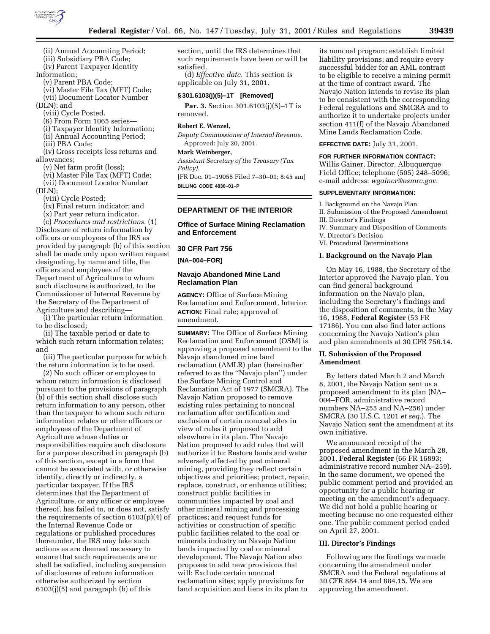

(ii) Annual Accounting Period; (iii) Subsidiary PBA Code;

- 
- (iv) Parent Taxpayer Identity
- Information; (v) Parent PBA Code;
	-

(vi) Master File Tax (MFT) Code; (vii) Document Locator Number

(DLN); and

(viii) Cycle Posted.

(6) From Form 1065 series—

(i) Taxpayer Identity Information;

(ii) Annual Accounting Period;

(iii) PBA Code;

(iv) Gross receipts less returns and allowances;

(v) Net farm profit (loss);

(vi) Master File Tax (MFT) Code; (vii) Document Locator Number (DLN);

(viii) Cycle Posted;

(ix) Final return indicator; and

(x) Part year return indicator.

(c) *Procedures and restrictions.* (1) Disclosure of return information by officers or employees of the IRS as provided by paragraph (b) of this section shall be made only upon written request designating, by name and title, the officers and employees of the Department of Agriculture to whom such disclosure is authorized, to the Commissioner of Internal Revenue by the Secretary of the Department of Agriculture and describing—

(i) The particular return information to be disclosed;

(ii) The taxable period or date to which such return information relates; and

(iii) The particular purpose for which the return information is to be used.

(2) No such officer or employee to whom return information is disclosed pursuant to the provisions of paragraph (b) of this section shall disclose such return information to any person, other than the taxpayer to whom such return information relates or other officers or employees of the Department of Agriculture whose duties or responsibilities require such disclosure for a purpose described in paragraph (b) of this section, except in a form that cannot be associated with, or otherwise identify, directly or indirectly, a particular taxpayer. If the IRS determines that the Department of Agriculture, or any officer or employee thereof, has failed to, or does not, satisfy the requirements of section 6103(p)(4) of the Internal Revenue Code or regulations or published procedures thereunder, the IRS may take such actions as are deemed necessary to ensure that such requirements are or shall be satisfied, including suspension of disclosures of return information otherwise authorized by section  $6103(j)(5)$  and paragraph (b) of this

section, until the IRS determines that such requirements have been or will be satisfied.

(d) *Effective date.* This section is applicable on July 31, 2001.

# **§ 301.6103(j)(5)–1T [Removed]**

**Par. 3.** Section 301.6103(j)(5)-1T is removed.

### **Robert E. Wenzel,**

*Deputy Commissioner of Internal Revenue.* Approved: July 20, 2001.

#### **Mark Weinberger,**

*Assistant Secretary of the Treasury (Tax Policy).*

[FR Doc. 01–19055 Filed 7–30–01; 8:45 am] **BILLING CODE 4830–01–P**

# **DEPARTMENT OF THE INTERIOR**

# **Office of Surface Mining Reclamation and Enforcement**

### **30 CFR Part 756**

**[NA–004–FOR]**

# **Navajo Abandoned Mine Land Reclamation Plan**

**AGENCY:** Office of Surface Mining Reclamation and Enforcement, Interior. **ACTION:** Final rule; approval of amendment.

**SUMMARY:** The Office of Surface Mining Reclamation and Enforcement (OSM) is approving a proposed amendment to the Navajo abandoned mine land reclamation (AMLR) plan (hereinafter referred to as the ''Navajo plan'') under the Surface Mining Control and Reclamation Act of 1977 (SMCRA). The Navajo Nation proposed to remove existing rules pertaining to noncoal reclamation after certification and exclusion of certain noncoal sites in view of rules it proposed to add elsewhere in its plan. The Navajo Nation proposed to add rules that will authorize it to: Restore lands and water adversely affected by past mineral mining, providing they reflect certain objectives and priorities; protect, repair, replace, construct, or enhance utilities; construct public facilities in communities impacted by coal and other mineral mining and processing practices; and request funds for activities or construction of specific public facilities related to the coal or minerals industry on Navajo Nation lands impacted by coal or mineral development. The Navajo Nation also proposes to add new provisions that will: Exclude certain noncoal reclamation sites; apply provisions for land acquisition and liens in its plan to

its noncoal program; establish limited liability provisions; and require every successful bidder for an AML contract to be eligible to receive a mining permit at the time of contract award. The Navajo Nation intends to revise its plan to be consistent with the corresponding Federal regulations and SMCRA and to authorize it to undertake projects under section 411(f) of the Navajo Abandoned Mine Lands Reclamation Code.

**EFFECTIVE DATE:** July 31, 2001.

### **FOR FURTHER INFORMATION CONTACT:** Willis Gainer, Director, Albuquerque

Field Office; telephone (505) 248–5096; e-mail address: *wgainer@osmre.gov*.

### **SUPPLEMENTARY INFORMATION:**

I. Background on the Navajo Plan

- II. Submission of the Proposed Amendment III. Director's Findings
- IV. Summary and Disposition of Comments
- V. Director's Decision
- VI. Procedural Determinations

### **I. Background on the Navajo Plan**

On May 16, 1988, the Secretary of the Interior approved the Navajo plan. You can find general background information on the Navajo plan, including the Secretary's findings and the disposition of comments, in the May 16, 1988, **Federal Register** (53 FR 17186). You can also find later actions concerning the Navajo Nation's plan and plan amendments at 30 CFR 756.14.

### **II. Submission of the Proposed Amendment**

By letters dated March 2 and March 8, 2001, the Navajo Nation sent us a proposed amendment to its plan (NA– 004–FOR, administrative record numbers NA–255 and NA–256) under SMCRA (30 U.S.C. 1201 *et seq.*). The Navajo Nation sent the amendment at its own initiative.

We announced receipt of the proposed amendment in the March 28, 2001, **Federal Register** (66 FR 16893; administrative record number NA–259). In the same document, we opened the public comment period and provided an opportunity for a public hearing or meeting on the amendment's adequacy. We did not hold a public hearing or meeting because no one requested either one. The public comment period ended on April 27, 2001.

### **III. Director's Findings**

Following are the findings we made concerning the amendment under SMCRA and the Federal regulations at 30 CFR 884.14 and 884.15. We are approving the amendment.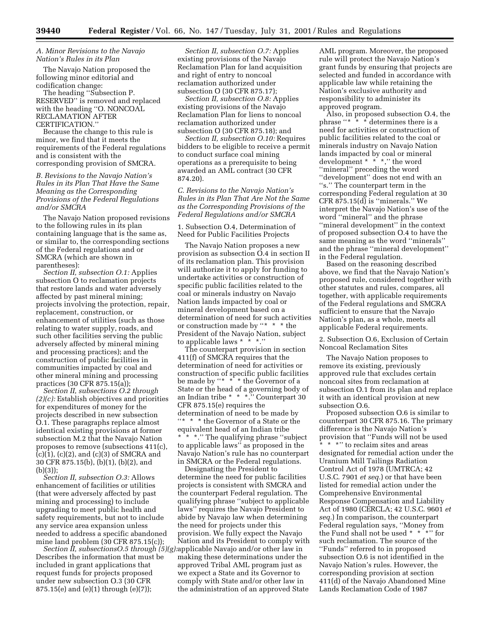# *A. Minor Revisions to the Navajo Nation's Rules in its Plan*

The Navajo Nation proposed the following minor editorial and codification change:

The heading ''Subsection P. RESERVED'' is removed and replaced with the heading ''O. NONCOAL RECLAMATION AFTER CERTIFICATION.''

Because the change to this rule is minor, we find that it meets the requirements of the Federal regulations and is consistent with the corresponding provision of SMCRA.

# *B. Revisions to the Navajo Nation's Rules in its Plan That Have the Same Meaning as the Corresponding Provisions of the Federal Regulations and/or SMCRA*

The Navajo Nation proposed revisions to the following rules in its plan containing language that is the same as, or similar to, the corresponding sections of the Federal regulations and or SMCRA (which are shown in parentheses):

*Section II, subsection O.1:* Applies subsection O to reclamation projects that restore lands and water adversely affected by past mineral mining; projects involving the protection, repair, replacement, construction, or enhancement of utilities (such as those relating to water supply, roads, and such other facilities serving the public adversely affected by mineral mining and processing practices); and the construction of public facilities in communities impacted by coal and other mineral mining and processing practices (30 CFR 875.15(a));

*Section II, subsections O.2 through (2)(c):* Establish objectives and priorities for expenditures of money for the projects described in new subsection O.1. These paragraphs replace almost identical existing provisions at former subsection M.2 that the Navajo Nation proposes to remove (subsections 411(c),  $(c)(1)$ ,  $(c)(2)$ , and  $(c)(3)$  of SMCRA and 30 CFR 875.15(b), (b)(1), (b)(2), and (b)(3));

*Section II, subsection O.3:* Allows enhancement of facilities or utilities (that were adversely affected by past mining and processing) to include upgrading to meet public health and safety requirements, but not to include any service area expansion unless needed to address a specific abandoned mine land problem (30 CFR 875.15(c));

Describes the information that must be included in grant applications that request funds for projects proposed under new subsection O.3 (30 CFR 875.15(e) and (e)(1) through (e)(7));

*Section II, subsection O.7:* Applies existing provisions of the Navajo Reclamation Plan for land acquisition and right of entry to noncoal reclamation authorized under subsection O (30 CFR 875.17);

*Section II, subsection O.8:* Applies existing provisions of the Navajo Reclamation Plan for liens to noncoal reclamation authorized under subsection O (30 CFR 875.18); and

*Section II, subsection O.10:* Requires bidders to be eligible to receive a permit to conduct surface coal mining operations as a prerequisite to being awarded an AML contract (30 CFR 874.20).

*C. Revisions to the Navajo Nation's Rules in its Plan That Are Not the Same as the Corresponding Provisions of the Federal Regulations and/or SMCRA*

1. Subsection O.4, Determination of Need for Public Facilities Projects

The Navajo Nation proposes a new provision as subsection O.4 in section II of its reclamation plan. This provision will authorize it to apply for funding to undertake activities or construction of specific public facilities related to the coal or minerals industry on Navajo Nation lands impacted by coal or mineral development based on a determination of need for such activities or construction made by ''\* \* \* the President of the Navajo Nation, subject to applicable laws \* \* \*.''

The counterpart provision in section 411(f) of SMCRA requires that the determination of need for activities or construction of specific public facilities be made by "\* \*<sup>\*</sup> \* the Governor of a State or the head of a governing body of an Indian tribe \* \* \*.'' Counterpart 30 CFR 875.15(e) requires the determination of need to be made by ''\* \* \* the Governor of a State or the equivalent head of an Indian tribe \* \* \*.'' The qualifying phrase ''subject to applicable laws'' as proposed in the Navajo Nation's rule has no counterpart in SMCRA or the Federal regulations.

*Section II, subsectionsO.5 through (5)(g):* applicable Navajo and/or other law in Designating the President to determine the need for public facilities projects is consistent with SMCRA and the counterpart Federal regulation. The qualifying phrase ''subject to applicable laws'' requires the Navajo President to abide by Navajo law when determining the need for projects under this provision. We fully expect the Navajo Nation and its President to comply with making these determinations under the approved Tribal AML program just as we expect a State and its Governor to comply with State and/or other law in the administration of an approved State

AML program. Moreover, the proposed rule will protect the Navajo Nation's grant funds by ensuring that projects are selected and funded in accordance with applicable law while retaining the Nation's exclusive authority and responsibility to administer its approved program.

Also, in proposed subsection O.4, the phrase ''\* \* \* determines there is a need for activities or construction of public facilities related to the coal or minerals industry on Navajo Nation lands impacted by coal or mineral development \* \* \*,'' the word ''mineral'' preceding the word ''development'' does not end with an "s." The counterpart term in the corresponding Federal regulation at 30 CFR  $875.15(d)$  is "minerals." We interpret the Navajo Nation's use of the word ''mineral'' and the phrase ''mineral development'' in the context of proposed subsection O.4 to have the same meaning as the word ''minerals'' and the phrase ''mineral development'' in the Federal regulation.

Based on the reasoning described above, we find that the Navajo Nation's proposed rule, considered together with other statutes and rules, compares, all together, with applicable requirements of the Federal regulations and SMCRA sufficient to ensure that the Navajo Nation's plan, as a whole, meets all applicable Federal requirements.

2. Subsection O.6, Exclusion of Certain Noncoal Reclamation Sites

The Navajo Nation proposes to remove its existing, previously approved rule that excludes certain noncoal sites from reclamation at subsection O.1 from its plan and replace it with an identical provision at new subsection O.6.

Proposed subsection O.6 is similar to counterpart 30 CFR 875.16. The primary difference is the Navajo Nation's provision that ''Funds will not be used \*\*\*'' to reclaim sites and areas designated for remedial action under the Uranium Mill Tailings Radiation Control Act of 1978 (UMTRCA; 42 U.S.C. 7901 *et seq.*) or that have been listed for remedial action under the Comprehensive Environmental Response Compensation and Liability Act of 1980 (CERCLA; 42 U.S.C. 9601 *et seq.*) In comparison, the counterpart Federal regulation says, ''Money from the Fund shall not be used \* \* \*'' for such reclamation. The source of the ''Funds'' referred to in proposed subsection O.6 is not identified in the Navajo Nation's rules. However, the corresponding provision at section 411(d) of the Navajo Abandoned Mine Lands Reclamation Code of 1987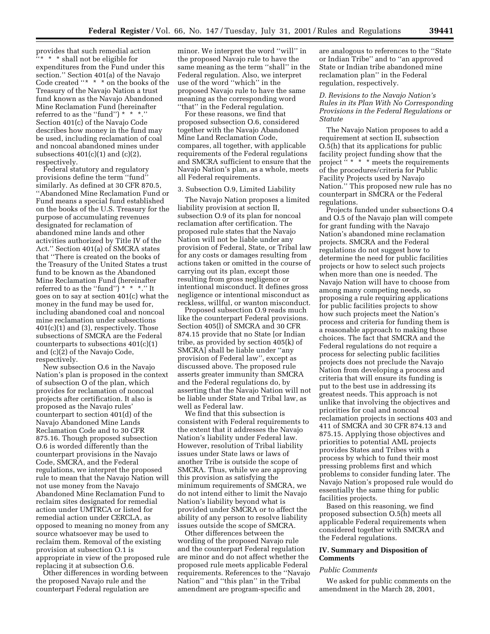provides that such remedial action ''\* \* \* shall not be eligible for expenditures from the Fund under this section.'' Section 401(a) of the Navajo Code created "\* \* \* on the books of the Treasury of the Navajo Nation a trust fund known as the Navajo Abandoned Mine Reclamation Fund (hereinafter referred to as the "fund") \* \* \*.' Section 401(c) of the Navajo Code describes how money in the fund may be used, including reclamation of coal and noncoal abandoned mines under subsections  $401(c)(1)$  and  $(c)(2)$ , respectively.

Federal statutory and regulatory provisions define the term ''fund'' similarly. As defined at 30 CFR 870.5, ''Abandoned Mine Reclamation Fund or Fund means a special fund established on the books of the U.S. Treasury for the purpose of accumulating revenues designated for reclamation of abandoned mine lands and other activities authorized by Title IV of the Act.'' Section 401(a) of SMCRA states that ''There is created on the books of the Treasury of the United States a trust fund to be known as the Abandoned Mine Reclamation Fund (hereinafter referred to as the "fund") \* \* \*." It goes on to say at section 401(c) what the money in the fund may be used for, including abandoned coal and noncoal mine reclamation under subsections  $401(c)(1)$  and (3), respectively. Those subsections of SMCRA are the Federal counterparts to subsections 401(c)(1) and (c)(2) of the Navajo Code, respectively.

New subsection O.6 in the Navajo Nation's plan is proposed in the context of subsection O of the plan, which provides for reclamation of noncoal projects after certification. It also is proposed as the Navajo rules' counterpart to section 401(d) of the Navajo Abandoned Mine Lands Reclamation Code and to 30 CFR 875.16. Though proposed subsection O.6 is worded differently than the counterpart provisions in the Navajo Code, SMCRA, and the Federal regulations, we interpret the proposed rule to mean that the Navajo Nation will not use money from the Navajo Abandoned Mine Reclamation Fund to reclaim sites designated for remedial action under UMTRCA or listed for remedial action under CERCLA, as opposed to meaning no money from any source whatsoever may be used to reclaim them. Removal of the existing provision at subsection O.1 is appropriate in view of the proposed rule replacing it at subsection O.6.

Other differences in wording between the proposed Navajo rule and the counterpart Federal regulation are

minor. We interpret the word ''will'' in the proposed Navajo rule to have the same meaning as the term ''shall'' in the Federal regulation. Also, we interpret use of the word ''which'' in the proposed Navajo rule to have the same meaning as the corresponding word ''that'' in the Federal regulation.

For these reasons, we find that proposed subsection O.6, considered together with the Navajo Abandoned Mine Land Reclamation Code, compares, all together, with applicable requirements of the Federal regulations and SMCRA sufficient to ensure that the Navajo Nation's plan, as a whole, meets all Federal requirements.

### 3. Subsection O.9, Limited Liability

The Navajo Nation proposes a limited liability provision at section II, subsection O.9 of its plan for noncoal reclamation after certification. The proposed rule states that the Navajo Nation will not be liable under any provision of Federal, State, or Tribal law for any costs or damages resulting from actions taken or omitted in the course of carrying out its plan, except those resulting from gross negligence or intentional misconduct. It defines gross negligence or intentional misconduct as reckless, willful, or wanton misconduct.

Proposed subsection O.9 reads much like the counterpart Federal provisions. Section 405(l) of SMCRA and 30 CFR 874.15 provide that no State [or Indian tribe, as provided by section 405(k) of SMCRA] shall be liable under ''any provision of Federal law'', except as discussed above. The proposed rule asserts greater immunity than SMCRA and the Federal regulations do, by asserting that the Navajo Nation will not be liable under State and Tribal law, as well as Federal law.

We find that this subsection is consistent with Federal requirements to the extent that it addresses the Navajo Nation's liability under Federal law. However, resolution of Tribal liability issues under State laws or laws of another Tribe is outside the scope of SMCRA. Thus, while we are approving this provision as satisfying the minimum requirements of SMCRA, we do not intend either to limit the Navajo Nation's liability beyond what is provided under SMCRA or to affect the ability of any person to resolve liability issues outside the scope of SMCRA.

Other differences between the wording of the proposed Navajo rule and the counterpart Federal regulation are minor and do not affect whether the proposed rule meets applicable Federal requirements. References to the ''Navajo Nation'' and ''this plan'' in the Tribal amendment are program-specific and

are analogous to references to the ''State or Indian Tribe'' and to ''an approved State or Indian tribe abandoned mine reclamation plan'' in the Federal regulation, respectively.

# *D. Revisions to the Navajo Nation's Rules in its Plan With No Corresponding Provisions in the Federal Regulations or Statute*

The Navajo Nation proposes to add a requirement at section II, subsection O.5(h) that its applications for public facility project funding show that the project " \* \* \* meets the requirements of the procedures/criteria for Public Facility Projects used by Navajo Nation.'' This proposed new rule has no counterpart in SMCRA or the Federal regulations.

Projects funded under subsections O.4 and O.5 of the Navajo plan will compete for grant funding with the Navajo Nation's abandoned mine reclamation projects. SMCRA and the Federal regulations do not suggest how to determine the need for public facilities projects or how to select such projects when more than one is needed. The Navajo Nation will have to choose from among many competing needs, so proposing a rule requiring applications for public facilities projects to show how such projects meet the Nation's process and criteria for funding them is a reasonable approach to making those choices. The fact that SMCRA and the Federal regulations do not require a process for selecting public facilities projects does not preclude the Navajo Nation from developing a process and criteria that will ensure its funding is put to the best use in addressing its greatest needs. This approach is not unlike that involving the objectives and priorities for coal and noncoal reclamation projects in sections 403 and 411 of SMCRA and 30 CFR 874.13 and 875.15. Applying those objectives and priorities to potential AML projects provides States and Tribes with a process by which to fund their most pressing problems first and which problems to consider funding later. The Navajo Nation's proposed rule would do essentially the same thing for public facilities projects.

Based on this reasoning, we find proposed subsection O.5(h) meets all applicable Federal requirements when considered together with SMCRA and the Federal regulations.

# **IV. Summary and Disposition of Comments**

#### *Public Comments*

We asked for public comments on the amendment in the March 28, 2001,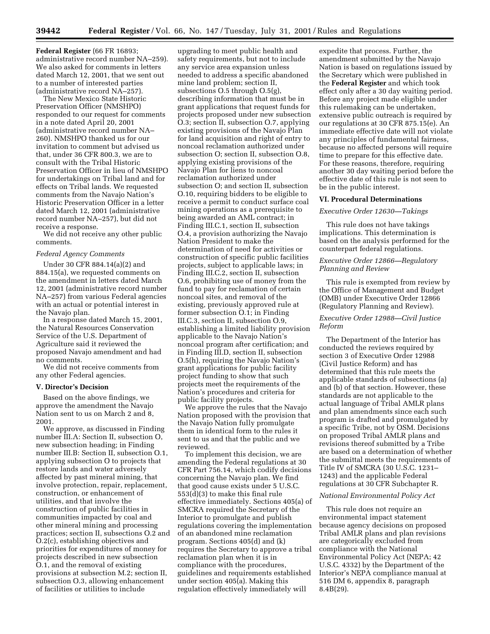**Federal Register** (66 FR 16893; administrative record number NA–259). We also asked for comments in letters dated March 12, 2001, that we sent out to a number of interested parties (administrative record NA–257).

The New Mexico State Historic Preservation Officer (NMSHPO) responded to our request for comments in a note dated April 20, 2001 (administrative record number NA– 260). NMSHPO thanked us for our invitation to comment but advised us that, under 36 CFR 800.3, we are to consult with the Tribal Historic Preservation Officer in lieu of NMSHPO for undertakings on Tribal land and for effects on Tribal lands. We requested comments from the Navajo Nation's Historic Preservation Officer in a letter dated March 12, 2001 (administrative record number NA–257), but did not receive a response.

We did not receive any other public comments.

# *Federal Agency Comments*

Under 30 CFR 884.14(a)(2) and 884.15(a), we requested comments on the amendment in letters dated March 12, 2001 (administrative record number NA–257) from various Federal agencies with an actual or potential interest in the Navajo plan.

In a response dated March 15, 2001, the Natural Resources Conservation Service of the U.S. Department of Agriculture said it reviewed the proposed Navajo amendment and had no comments.

We did not receive comments from any other Federal agencies.

### **V. Director's Decision**

Based on the above findings, we approve the amendment the Navajo Nation sent to us on March 2 and 8, 2001.

We approve, as discussed in Finding number III.A: Section II, subsection O, new subsection heading; in Finding number III.B: Section II, subsection O.1, applying subsection O to projects that restore lands and water adversely affected by past mineral mining, that involve protection, repair, replacement, construction, or enhancement of utilities, and that involve the construction of public facilities in communities impacted by coal and other mineral mining and processing practices; section II, subsections O.2 and O.2(c), establishing objectives and priorities for expenditures of money for projects described in new subsection O.1, and the removal of existing provisions at subsection M.2; section II, subsection O.3, allowing enhancement of facilities or utilities to include

upgrading to meet public health and safety requirements, but not to include any service area expansion unless needed to address a specific abandoned mine land problem; section II, subsections O.5 through O.5(g), describing information that must be in grant applications that request funds for projects proposed under new subsection O.3; section II, subsection O.7, applying existing provisions of the Navajo Plan for land acquisition and right of entry to noncoal reclamation authorized under subsection O; section II, subsection O.8, applying existing provisions of the Navajo Plan for liens to noncoal reclamation authorized under subsection O; and section II, subsection O.10, requiring bidders to be eligible to receive a permit to conduct surface coal mining operations as a prerequisite to being awarded an AML contract; in Finding III.C.1, section II, subsection O.4, a provision authorizing the Navajo Nation President to make the determination of need for activities or construction of specific public facilities projects, subject to applicable laws; in Finding III.C.2, section II, subsection O.6, prohibiting use of money from the fund to pay for reclamation of certain noncoal sites, and removal of the existing, previously approved rule at former subsection O.1; in Finding III.C.3, section II, subsection O.9, establishing a limited liability provision applicable to the Navajo Nation's noncoal program after certification; and in Finding III.D, section II, subsection O.5(h), requiring the Navajo Nation's grant applications for public facility project funding to show that such projects meet the requirements of the Nation's procedures and criteria for public facility projects.

We approve the rules that the Navajo Nation proposed with the provision that the Navajo Nation fully promulgate them in identical form to the rules it sent to us and that the public and we reviewed.

To implement this decision, we are amending the Federal regulations at 30 CFR Part 756.14, which codify decisions concerning the Navajo plan. We find that good cause exists under 5 U.S.C. 553(d)(3) to make this final rule effective immediately. Sections 405(a) of SMCRA required the Secretary of the Interior to promulgate and publish regulations covering the implementation of an abandoned mine reclamation program. Sections 405(d) and (k) requires the Secretary to approve a tribal reclamation plan when it is in compliance with the procedures, guidelines and requirements established under section 405(a). Making this regulation effectively immediately will

expedite that process. Further, the amendment submitted by the Navajo Nation is based on regulations issued by the Secretary which were published in the **Federal Register** and which took effect only after a 30 day waiting period. Before any project made eligible under this rulemaking can be undertaken, extensive public outreach is required by our regulations at 30 CFR 875.15(e). An immediate effective date will not violate any principles of fundamental fairness, because no affected persons will require time to prepare for this effective date. For these reasons, therefore, requiring another 30 day waiting period before the effective date of this rule is not seen to be in the public interest.

#### **VI. Procedural Determinations**

### *Executive Order 12630—Takings*

This rule does not have takings implications. This determination is based on the analysis performed for the counterpart federal regulations.

# *Executive Order 12866—Regulatory Planning and Review*

This rule is exempted from review by the Office of Management and Budget (OMB) under Executive Order 12866 (Regulatory Planning and Review).

### *Executive Order 12988—Civil Justice Reform*

The Department of the Interior has conducted the reviews required by section 3 of Executive Order 12988 (Civil Justice Reform) and has determined that this rule meets the applicable standards of subsections (a) and (b) of that section. However, these standards are not applicable to the actual language of Tribal AMLR plans and plan amendments since each such program is drafted and promulgated by a specific Tribe, not by OSM. Decisions on proposed Tribal AMLR plans and revisions thereof submitted by a Tribe are based on a determination of whether the submittal meets the requirements of Title IV of SMCRA (30 U.S.C. 1231– 1243) and the applicable Federal regulations at 30 CFR Subchapter R.

### *National Environmental Policy Act*

This rule does not require an environmental impact statement because agency decisions on proposed Tribal AMLR plans and plan revisions are categorically excluded from compliance with the National Environmental Policy Act (NEPA; 42 U.S.C. 4332) by the Department of the Interior's NEPA compliance manual at 516 DM 6, appendix 8, paragraph 8.4B(29).